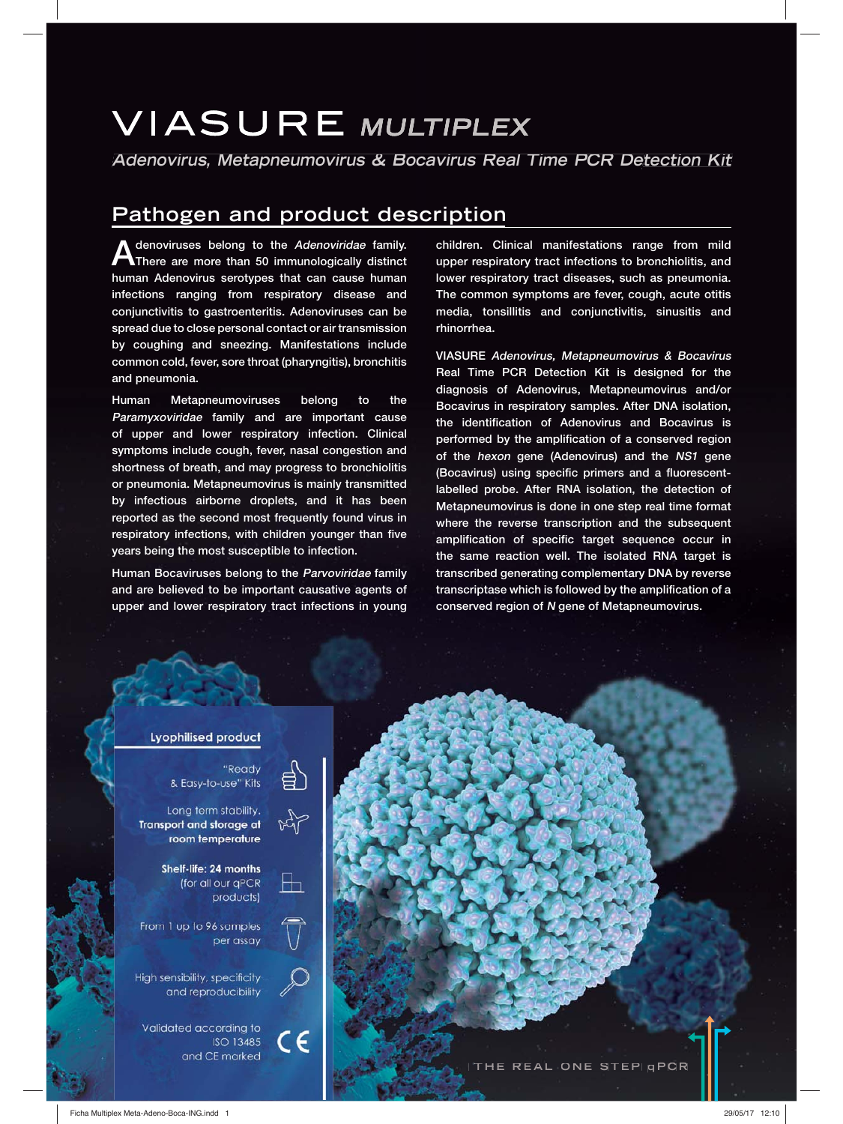# **VIASURE MULTIPLEX**

**Adenovirus, Metapneumovirus & Bocavirus Real Time PCR Detection Kit**

# **Pathogen and product description**

**Adenoviruses belong to the Adenoviridae family. There are more than 50 immunologically distinct human Adenovirus serotypes that can cause human infections ranging from respiratory disease and conjunctivitis to gastroenteritis. Adenoviruses can be spread due to close personal contact or air transmission by coughing and sneezing. Manifestations include common cold, fever, sore throat (pharyngitis), bronchitis and pneumonia.**

**Human Metapneumoviruses belong to the Paramyxoviridae family and are important cause of upper and lower respiratory infection. Clinical symptoms include cough, fever, nasal congestion and shortness of breath, and may progress to bronchiolitis or pneumonia. Metapneumovirus is mainly transmitted by infectious airborne droplets, and it has been reported as the second most frequently found virus in respiratory infections, with children younger than five years being the most susceptible to infection.**

**Human Bocaviruses belong to the Parvoviridae family and are believed to be important causative agents of upper and lower respiratory tract infections in young** 

**children. Clinical manifestations range from mild upper respiratory tract infections to bronchiolitis, and lower respiratory tract diseases, such as pneumonia. The common symptoms are fever, cough, acute otitis media, tonsillitis and conjunctivitis, sinusitis and rhinorrhea.**

**VIASURE Adenovirus, Metapneumovirus & Bocavirus Real Time PCR Detection Kit is designed for the diagnosis of Adenovirus, Metapneumovirus and/or Bocavirus in respiratory samples. After DNA isolation, the identification of Adenovirus and Bocavirus is performed by the amplification of a conserved region of the hexon gene (Adenovirus) and the NS1 gene (Bocavirus) using specific primers and a fluorescentlabelled probe. After RNA isolation, the detection of Metapneumovirus is done in one step real time format where the reverse transcription and the subsequent amplification of specific target sequence occur in the same reaction well. The isolated RNA target is transcribed generating complementary DNA by reverse transcriptase which is followed by the amplification of a conserved region of N gene of Metapneumovirus.**



"Ready & Easy-to-use" Kits

Long term stability. Transport and storage at room temperature

> Shelf-life: 24 months (for all our gPCR products)

From 1 up to 96 samples per assay

High sensibility, specificity and reproducibility

Validated according to **ISO 13485** and CE marked